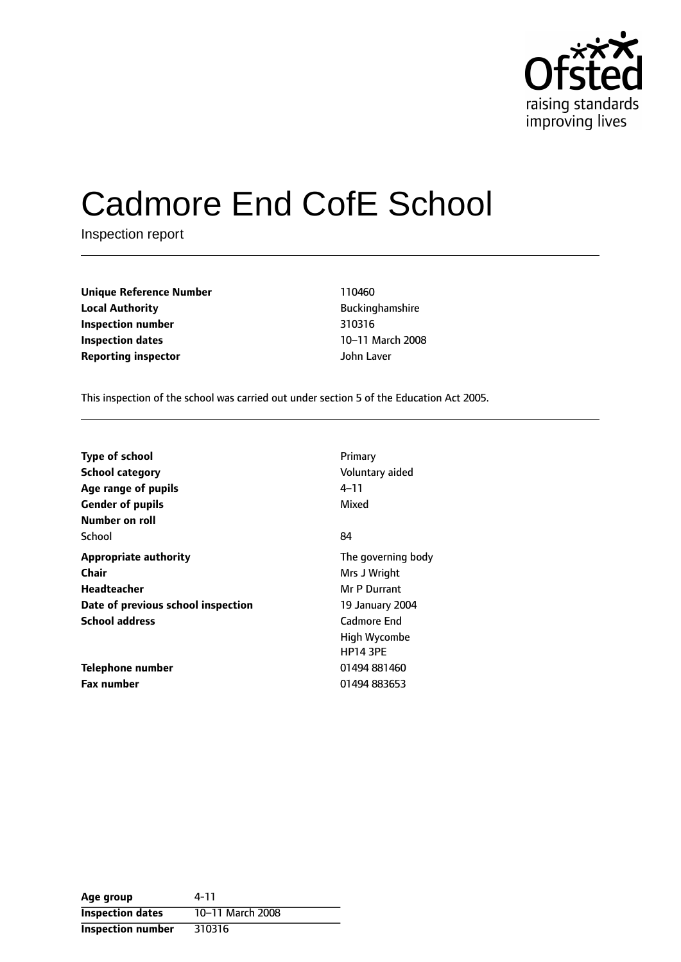

# Cadmore End CofE School

Inspection report

| <b>Unique Reference Number</b> | 110460            |
|--------------------------------|-------------------|
| <b>Local Authority</b>         | <b>Buckinghan</b> |
| Inspection number              | 310316            |
| <b>Inspection dates</b>        | 10-11 Marc        |
| <b>Reporting inspector</b>     | John Laver        |

**Unique Reference Number** 110460 **Buckinghamshire Inspection number** 310316 **10-11 March 2008** 

This inspection of the school was carried out under section 5 of the Education Act 2005.

| <b>Type of school</b>              | Primary            |
|------------------------------------|--------------------|
| <b>School category</b>             | Voluntary aided    |
| Age range of pupils                | 4–11               |
| <b>Gender of pupils</b>            | Mixed              |
| Number on roll                     |                    |
| School                             | 84                 |
| <b>Appropriate authority</b>       | The governing body |
| <b>Chair</b>                       | Mrs J Wright       |
| Headteacher                        | Mr P Durrant       |
| Date of previous school inspection | 19 January 2004    |
| <b>School address</b>              | Cadmore End        |
|                                    | High Wycombe       |
|                                    | <b>HP14 3PE</b>    |
| Telephone number                   | 01494 881460       |
| <b>Fax number</b>                  | 01494 883653       |

| Age group                | 4-11             |
|--------------------------|------------------|
| <b>Inspection dates</b>  | 10-11 March 2008 |
| <b>Inspection number</b> | 310316           |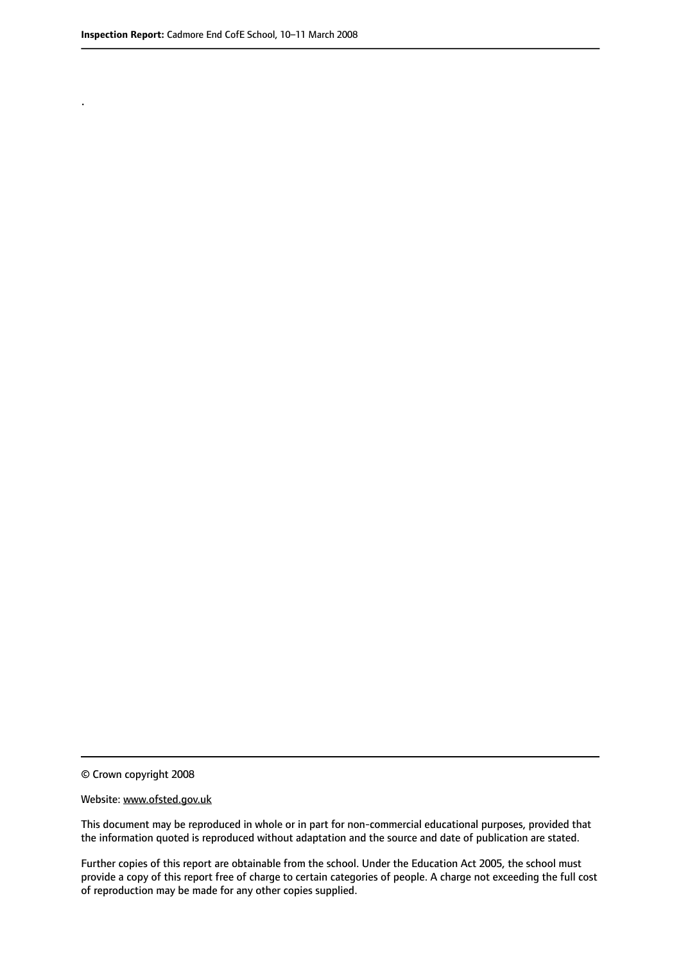.

© Crown copyright 2008

#### Website: www.ofsted.gov.uk

This document may be reproduced in whole or in part for non-commercial educational purposes, provided that the information quoted is reproduced without adaptation and the source and date of publication are stated.

Further copies of this report are obtainable from the school. Under the Education Act 2005, the school must provide a copy of this report free of charge to certain categories of people. A charge not exceeding the full cost of reproduction may be made for any other copies supplied.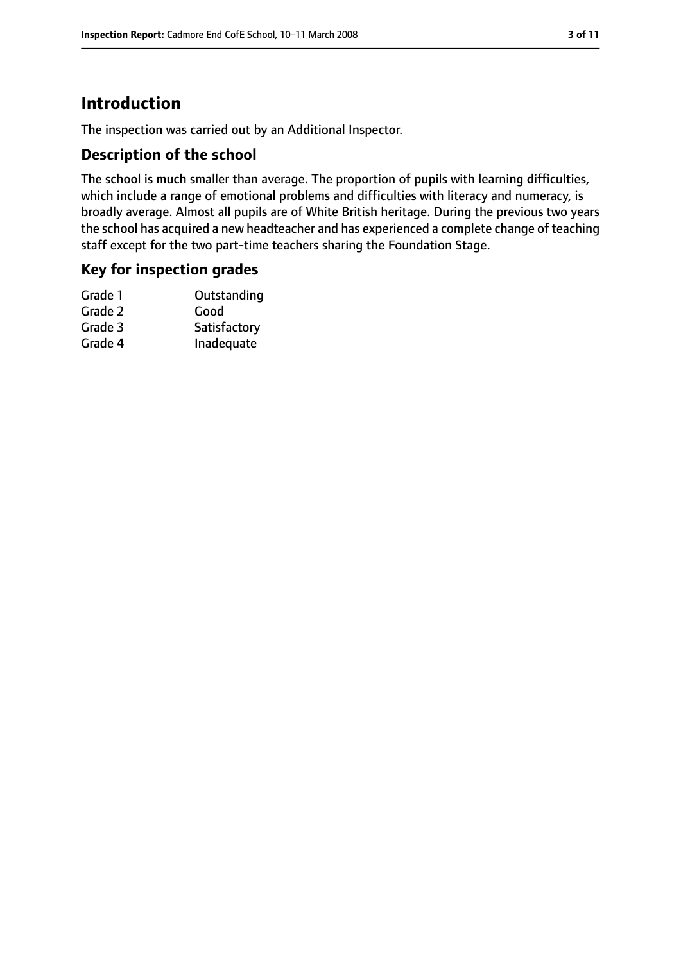# **Introduction**

The inspection was carried out by an Additional Inspector.

#### **Description of the school**

The school is much smaller than average. The proportion of pupils with learning difficulties, which include a range of emotional problems and difficulties with literacy and numeracy, is broadly average. Almost all pupils are of White British heritage. During the previous two years the school has acquired a new headteacher and has experienced a complete change of teaching staff except for the two part-time teachers sharing the Foundation Stage.

#### **Key for inspection grades**

| Outstanding  |
|--------------|
| Good         |
| Satisfactory |
| Inadequate   |
|              |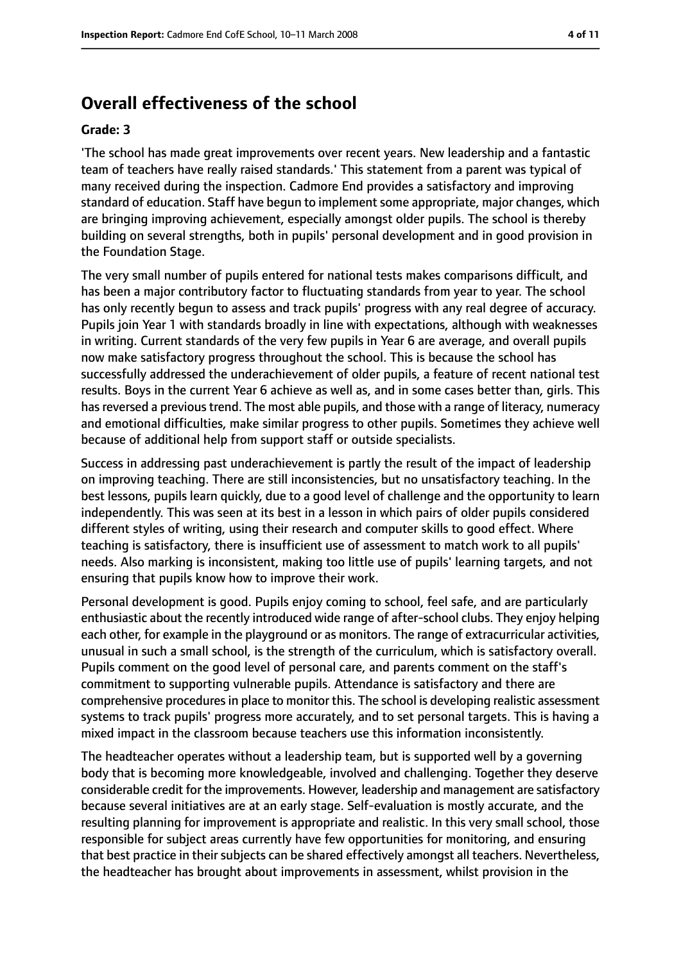# **Overall effectiveness of the school**

#### **Grade: 3**

'The school has made great improvements over recent years. New leadership and a fantastic team of teachers have really raised standards.' This statement from a parent was typical of many received during the inspection. Cadmore End provides a satisfactory and improving standard of education. Staff have begun to implement some appropriate, major changes, which are bringing improving achievement, especially amongst older pupils. The school is thereby building on several strengths, both in pupils' personal development and in good provision in the Foundation Stage.

The very small number of pupils entered for national tests makes comparisons difficult, and has been a major contributory factor to fluctuating standards from year to year. The school has only recently begun to assess and track pupils' progress with any real degree of accuracy. Pupils join Year 1 with standards broadly in line with expectations, although with weaknesses in writing. Current standards of the very few pupils in Year 6 are average, and overall pupils now make satisfactory progress throughout the school. This is because the school has successfully addressed the underachievement of older pupils, a feature of recent national test results. Boys in the current Year 6 achieve as well as, and in some cases better than, girls. This has reversed a previous trend. The most able pupils, and those with a range of literacy, numeracy and emotional difficulties, make similar progress to other pupils. Sometimes they achieve well because of additional help from support staff or outside specialists.

Success in addressing past underachievement is partly the result of the impact of leadership on improving teaching. There are still inconsistencies, but no unsatisfactory teaching. In the best lessons, pupils learn quickly, due to a good level of challenge and the opportunity to learn independently. This was seen at its best in a lesson in which pairs of older pupils considered different styles of writing, using their research and computer skills to good effect. Where teaching is satisfactory, there is insufficient use of assessment to match work to all pupils' needs. Also marking is inconsistent, making too little use of pupils' learning targets, and not ensuring that pupils know how to improve their work.

Personal development is good. Pupils enjoy coming to school, feel safe, and are particularly enthusiastic about the recently introduced wide range of after-school clubs. They enjoy helping each other, for example in the playground or as monitors. The range of extracurricular activities, unusual in such a small school, is the strength of the curriculum, which is satisfactory overall. Pupils comment on the good level of personal care, and parents comment on the staff's commitment to supporting vulnerable pupils. Attendance is satisfactory and there are comprehensive procedures in place to monitor this. The school is developing realistic assessment systems to track pupils' progress more accurately, and to set personal targets. This is having a mixed impact in the classroom because teachers use this information inconsistently.

The headteacher operates without a leadership team, but is supported well by a governing body that is becoming more knowledgeable, involved and challenging. Together they deserve considerable credit for the improvements. However, leadership and management are satisfactory because several initiatives are at an early stage. Self-evaluation is mostly accurate, and the resulting planning for improvement is appropriate and realistic. In this very small school, those responsible for subject areas currently have few opportunities for monitoring, and ensuring that best practice in their subjects can be shared effectively amongst all teachers. Nevertheless, the headteacher has brought about improvements in assessment, whilst provision in the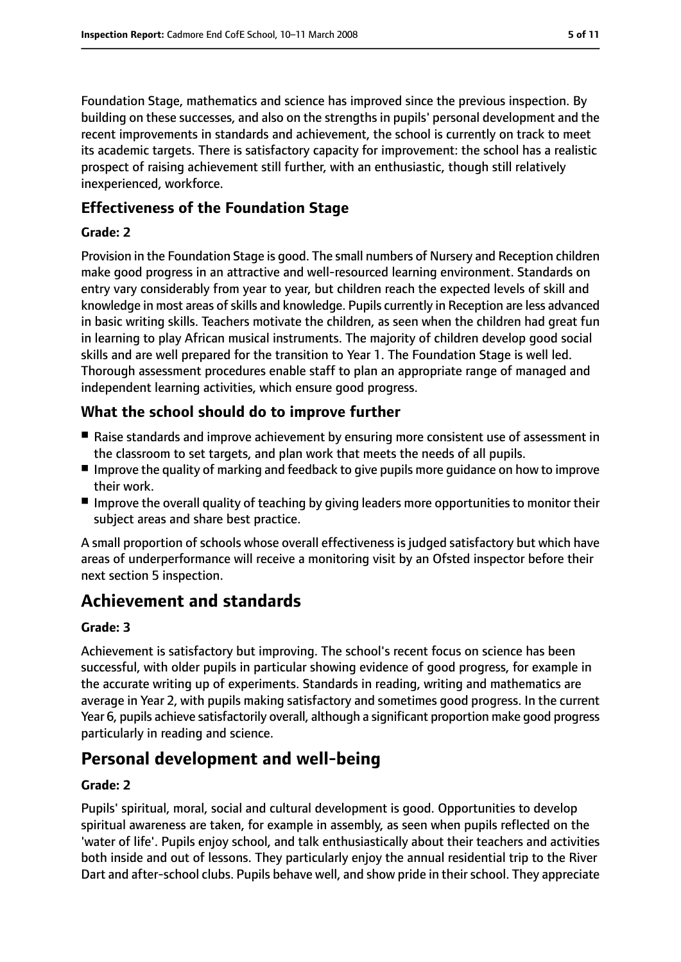Foundation Stage, mathematics and science has improved since the previous inspection. By building on these successes, and also on the strengths in pupils' personal development and the recent improvements in standards and achievement, the school is currently on track to meet its academic targets. There is satisfactory capacity for improvement: the school has a realistic prospect of raising achievement still further, with an enthusiastic, though still relatively inexperienced, workforce.

## **Effectiveness of the Foundation Stage**

#### **Grade: 2**

Provision in the Foundation Stage is good. The small numbers of Nursery and Reception children make good progress in an attractive and well-resourced learning environment. Standards on entry vary considerably from year to year, but children reach the expected levels of skill and knowledge in most areas of skills and knowledge. Pupils currently in Reception are less advanced in basic writing skills. Teachers motivate the children, as seen when the children had great fun in learning to play African musical instruments. The majority of children develop good social skills and are well prepared for the transition to Year 1. The Foundation Stage is well led. Thorough assessment procedures enable staff to plan an appropriate range of managed and independent learning activities, which ensure good progress.

# **What the school should do to improve further**

- Raise standards and improve achievement by ensuring more consistent use of assessment in the classroom to set targets, and plan work that meets the needs of all pupils.
- Improve the quality of marking and feedback to give pupils more guidance on how to improve their work.
- Improve the overall quality of teaching by giving leaders more opportunities to monitor their subject areas and share best practice.

A small proportion of schools whose overall effectiveness is judged satisfactory but which have areas of underperformance will receive a monitoring visit by an Ofsted inspector before their next section 5 inspection.

# **Achievement and standards**

#### **Grade: 3**

Achievement is satisfactory but improving. The school's recent focus on science has been successful, with older pupils in particular showing evidence of good progress, for example in the accurate writing up of experiments. Standards in reading, writing and mathematics are average in Year 2, with pupils making satisfactory and sometimes good progress. In the current Year 6, pupils achieve satisfactorily overall, although a significant proportion make good progress particularly in reading and science.

# **Personal development and well-being**

#### **Grade: 2**

Pupils' spiritual, moral, social and cultural development is good. Opportunities to develop spiritual awareness are taken, for example in assembly, as seen when pupils reflected on the 'water of life'. Pupils enjoy school, and talk enthusiastically about their teachers and activities both inside and out of lessons. They particularly enjoy the annual residential trip to the River Dart and after-school clubs. Pupils behave well, and show pride in their school. They appreciate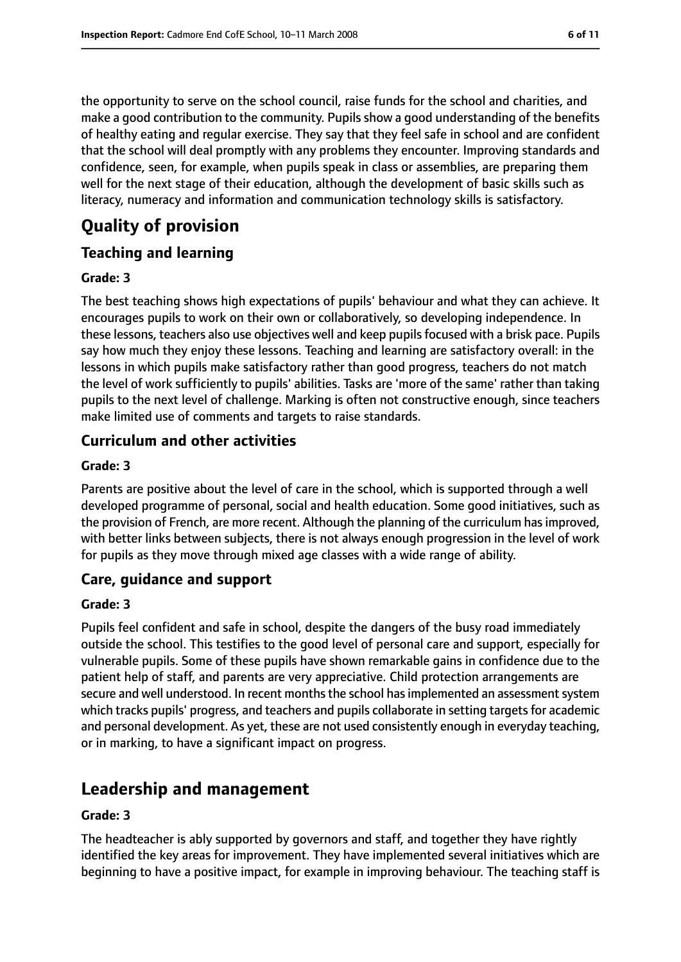the opportunity to serve on the school council, raise funds for the school and charities, and make a good contribution to the community. Pupils show a good understanding of the benefits of healthy eating and regular exercise. They say that they feel safe in school and are confident that the school will deal promptly with any problems they encounter. Improving standards and confidence, seen, for example, when pupils speak in class or assemblies, are preparing them well for the next stage of their education, although the development of basic skills such as literacy, numeracy and information and communication technology skills is satisfactory.

# **Quality of provision**

# **Teaching and learning**

#### **Grade: 3**

The best teaching shows high expectations of pupils' behaviour and what they can achieve. It encourages pupils to work on their own or collaboratively, so developing independence. In these lessons, teachers also use objectives well and keep pupils focused with a brisk pace. Pupils say how much they enjoy these lessons. Teaching and learning are satisfactory overall: in the lessons in which pupils make satisfactory rather than good progress, teachers do not match the level of work sufficiently to pupils' abilities. Tasks are 'more of the same' rather than taking pupils to the next level of challenge. Marking is often not constructive enough, since teachers make limited use of comments and targets to raise standards.

# **Curriculum and other activities**

#### **Grade: 3**

Parents are positive about the level of care in the school, which is supported through a well developed programme of personal, social and health education. Some good initiatives, such as the provision of French, are more recent. Although the planning of the curriculum hasimproved, with better links between subjects, there is not always enough progression in the level of work for pupils as they move through mixed age classes with a wide range of ability.

## **Care, guidance and support**

#### **Grade: 3**

Pupils feel confident and safe in school, despite the dangers of the busy road immediately outside the school. This testifies to the good level of personal care and support, especially for vulnerable pupils. Some of these pupils have shown remarkable gains in confidence due to the patient help of staff, and parents are very appreciative. Child protection arrangements are secure and well understood. In recent months the school has implemented an assessment system which tracks pupils' progress, and teachers and pupils collaborate in setting targets for academic and personal development. As yet, these are not used consistently enough in everyday teaching, or in marking, to have a significant impact on progress.

# **Leadership and management**

#### **Grade: 3**

The headteacher is ably supported by governors and staff, and together they have rightly identified the key areas for improvement. They have implemented several initiatives which are beginning to have a positive impact, for example in improving behaviour. The teaching staff is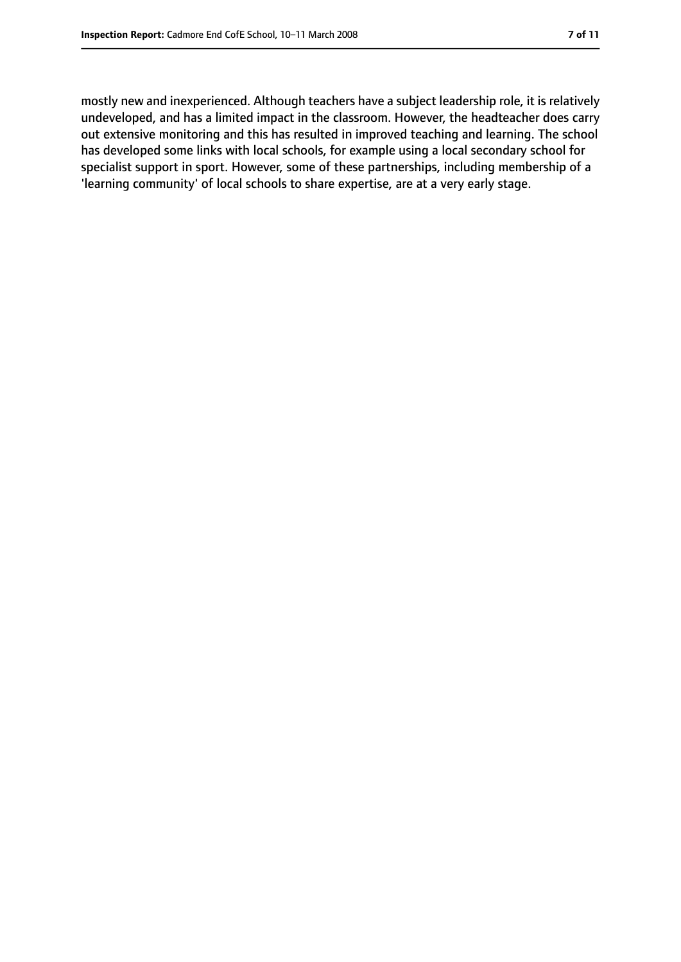mostly new and inexperienced. Although teachers have a subject leadership role, it is relatively undeveloped, and has a limited impact in the classroom. However, the headteacher does carry out extensive monitoring and this has resulted in improved teaching and learning. The school has developed some links with local schools, for example using a local secondary school for specialist support in sport. However, some of these partnerships, including membership of a 'learning community' of local schools to share expertise, are at a very early stage.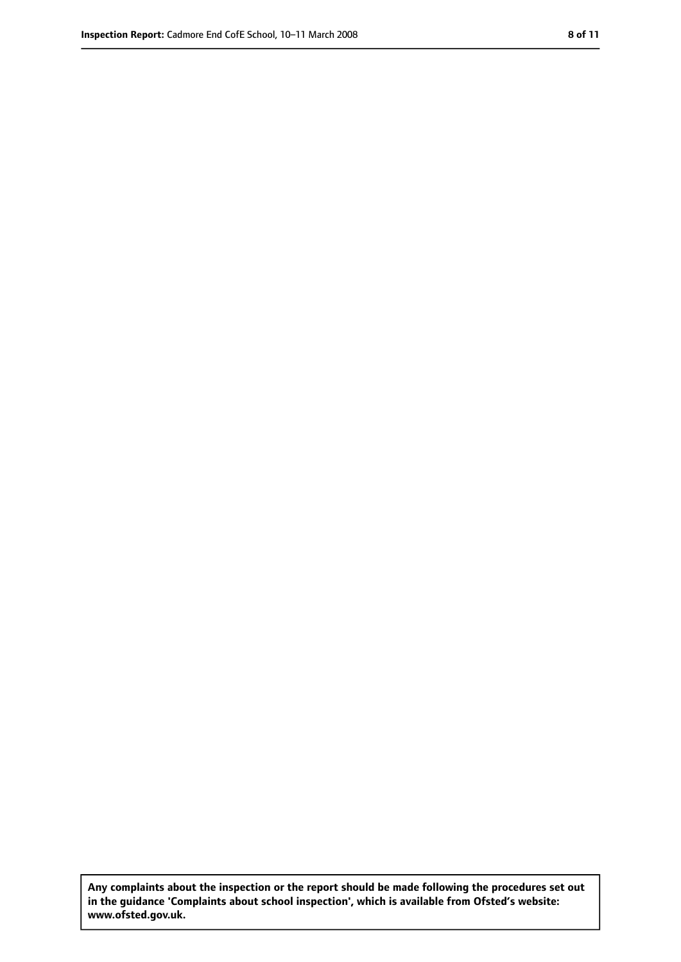**Any complaints about the inspection or the report should be made following the procedures set out in the guidance 'Complaints about school inspection', which is available from Ofsted's website: www.ofsted.gov.uk.**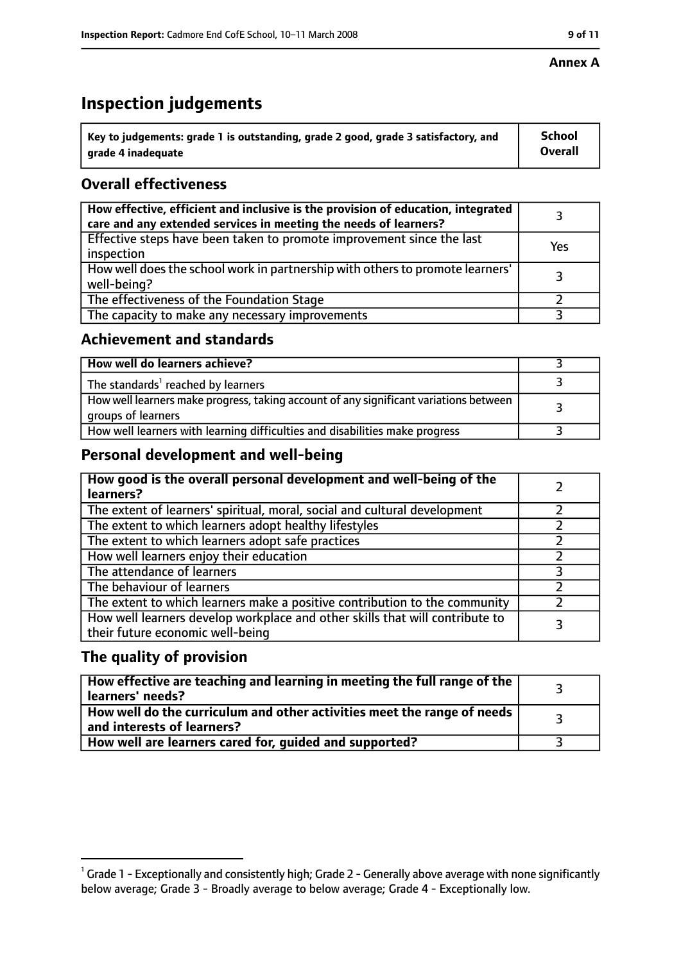#### **Annex A**

# **Inspection judgements**

| $^{\backprime}$ Key to judgements: grade 1 is outstanding, grade 2 good, grade 3 satisfactory, and | <b>School</b>  |
|----------------------------------------------------------------------------------------------------|----------------|
| arade 4 inadequate                                                                                 | <b>Overall</b> |

# **Overall effectiveness**

| How effective, efficient and inclusive is the provision of education, integrated<br>care and any extended services in meeting the needs of learners? |     |
|------------------------------------------------------------------------------------------------------------------------------------------------------|-----|
| Effective steps have been taken to promote improvement since the last<br>inspection                                                                  | Yes |
| How well does the school work in partnership with others to promote learners'<br>well-being?                                                         |     |
| The effectiveness of the Foundation Stage                                                                                                            |     |
| The capacity to make any necessary improvements                                                                                                      |     |

### **Achievement and standards**

| How well do learners achieve?                                                                               |  |
|-------------------------------------------------------------------------------------------------------------|--|
| The standards <sup>1</sup> reached by learners                                                              |  |
| How well learners make progress, taking account of any significant variations between<br>groups of learners |  |
| How well learners with learning difficulties and disabilities make progress                                 |  |

## **Personal development and well-being**

| How good is the overall personal development and well-being of the<br>learners?                                  |  |
|------------------------------------------------------------------------------------------------------------------|--|
| The extent of learners' spiritual, moral, social and cultural development                                        |  |
| The extent to which learners adopt healthy lifestyles                                                            |  |
| The extent to which learners adopt safe practices                                                                |  |
| How well learners enjoy their education                                                                          |  |
| The attendance of learners                                                                                       |  |
| The behaviour of learners                                                                                        |  |
| The extent to which learners make a positive contribution to the community                                       |  |
| How well learners develop workplace and other skills that will contribute to<br>their future economic well-being |  |

## **The quality of provision**

| How effective are teaching and learning in meeting the full range of the<br>learners' needs?          |  |
|-------------------------------------------------------------------------------------------------------|--|
| How well do the curriculum and other activities meet the range of needs<br>and interests of learners? |  |
| How well are learners cared for, guided and supported?                                                |  |

 $^1$  Grade 1 - Exceptionally and consistently high; Grade 2 - Generally above average with none significantly below average; Grade 3 - Broadly average to below average; Grade 4 - Exceptionally low.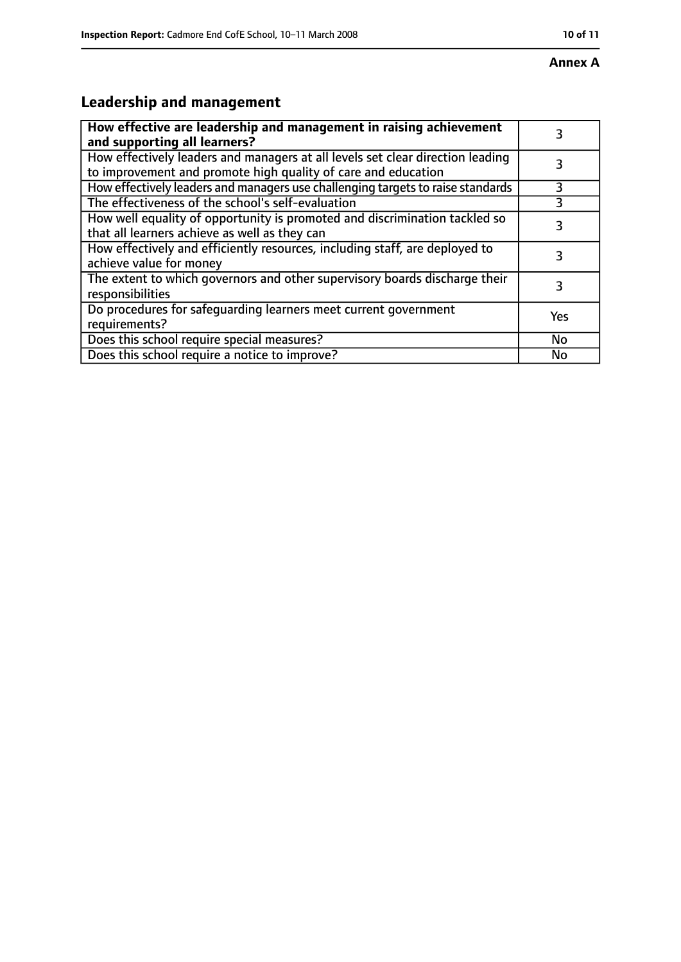# **Leadership and management**

| How effective are leadership and management in raising achievement<br>and supporting all learners?                                              |     |
|-------------------------------------------------------------------------------------------------------------------------------------------------|-----|
| How effectively leaders and managers at all levels set clear direction leading<br>to improvement and promote high quality of care and education |     |
| How effectively leaders and managers use challenging targets to raise standards                                                                 | 3   |
| The effectiveness of the school's self-evaluation                                                                                               |     |
| How well equality of opportunity is promoted and discrimination tackled so<br>that all learners achieve as well as they can                     | 3   |
| How effectively and efficiently resources, including staff, are deployed to<br>achieve value for money                                          | 3   |
| The extent to which governors and other supervisory boards discharge their<br>responsibilities                                                  | 3   |
| Do procedures for safequarding learners meet current government<br>requirements?                                                                | Yes |
| Does this school require special measures?                                                                                                      | No  |
| Does this school require a notice to improve?                                                                                                   | No  |